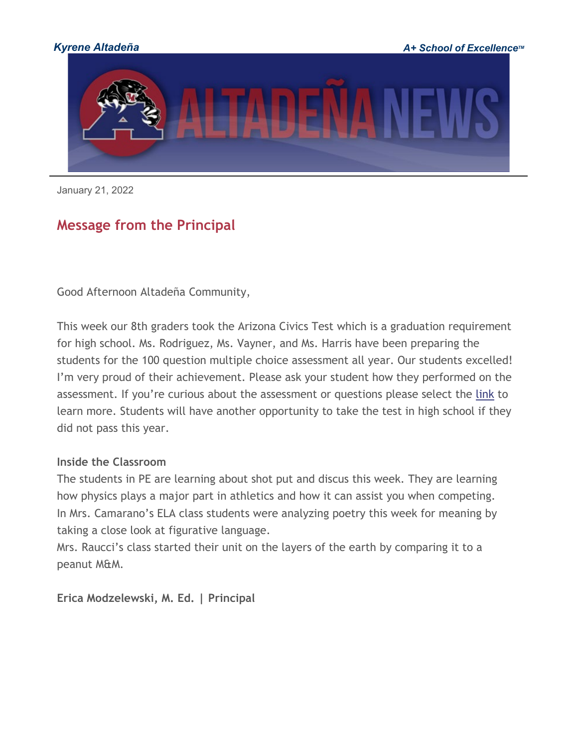

January 21, 2022

# **Message from the Principal**

Good Afternoon Altadeña Community,

This week our 8th graders took the Arizona Civics Test which is a graduation requirement for high school. Ms. Rodriguez, Ms. Vayner, and Ms. Harris have been preparing the students for the 100 question multiple choice assessment all year. Our students excelled! I'm very proud of their achievement. Please ask your student how they performed on the assessment. If you're curious about the assessment or questions please select the [link](http://track.spe.schoolmessenger.com/f/a/rOwJ-j-BsX6r_CG3uE7Xlw%7E%7E/AAAAAQA%7E/RgRjzHP7P0RRaHR0cHM6Ly93d3cudXNjaXMuZ292L3NpdGVzL2RlZmF1bHQvZmlsZXMvZG9jdW1lbnQvcXVlc3Rpb25zLWFuZC1hbnN3ZXJzLzEwMHEucGRmVwdzY2hvb2xtQgph6XtA62FVtqbWUhBzcmF0aEBreXJlbmUub3JnWAQAAAAB) to learn more. Students will have another opportunity to take the test in high school if they did not pass this year.

#### **Inside the Classroom**

The students in PE are learning about shot put and discus this week. They are learning how physics plays a major part in athletics and how it can assist you when competing. In Mrs. Camarano's ELA class students were analyzing poetry this week for meaning by taking a close look at figurative language.

Mrs. Raucci's class started their unit on the layers of the earth by comparing it to a peanut M&M.

**Erica Modzelewski, M. Ed. | Principal**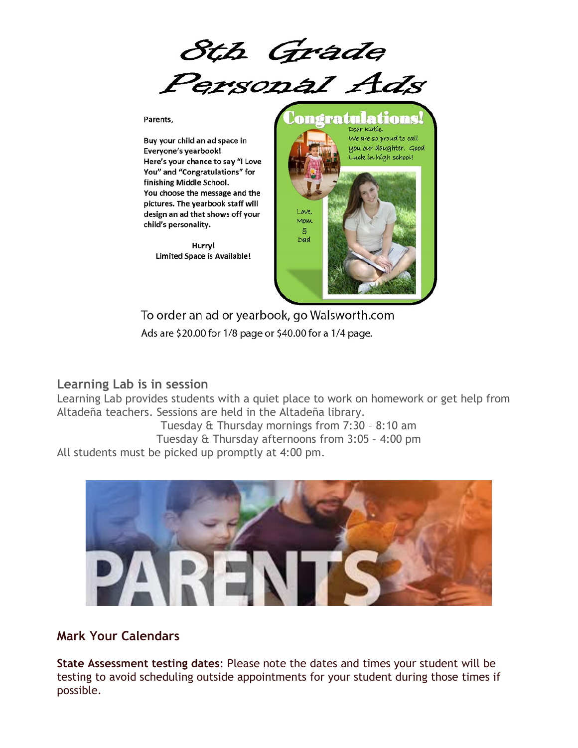

Parents,

Buy your child an ad space in Everyone's yearbook! Here's your chance to say "I Love You" and "Congratulations" for finishing Middle School. You choose the message and the pictures. The yearbook staff will design an ad that shows off your child's personality.

Hurry! **Limited Space is Available!** 



To order an ad or yearbook, go Walsworth.com Ads are \$20.00 for 1/8 page or \$40.00 for a 1/4 page.

#### **Learning Lab is in session**

Learning Lab provides students with a quiet place to work on homework or get help from Altadeña teachers. Sessions are held in the Altadeña library.

Tuesday & Thursday mornings from 7:30 – 8:10 am Tuesday & Thursday afternoons from 3:05 – 4:00 pm All students must be picked up promptly at 4:00 pm.



#### **Mark Your Calendars**

**State Assessment testing dates**: Please note the dates and times your student will be testing to avoid scheduling outside appointments for your student during those times if possible.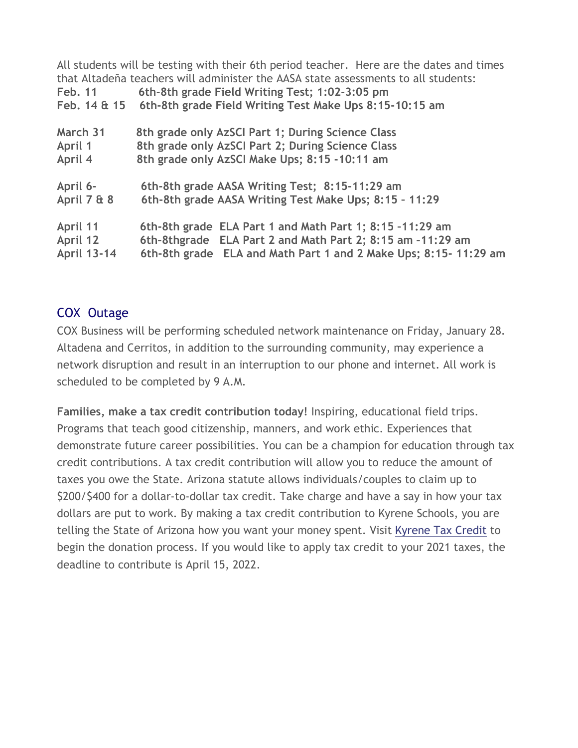| Feb. 11<br>Feb. 14 & 15 | All students will be testing with their 6th period teacher. Here are the dates and times<br>that Altadena teachers will administer the AASA state assessments to all students:<br>6th-8th grade Field Writing Test; 1:02-3:05 pm<br>6th-8th grade Field Writing Test Make Ups 8:15-10:15 am |
|-------------------------|---------------------------------------------------------------------------------------------------------------------------------------------------------------------------------------------------------------------------------------------------------------------------------------------|
| March 31                | 8th grade only AzSCI Part 1; During Science Class                                                                                                                                                                                                                                           |
| April 1                 | 8th grade only AzSCI Part 2; During Science Class                                                                                                                                                                                                                                           |
| April 4                 | 8th grade only AzSCI Make Ups; 8:15 -10:11 am                                                                                                                                                                                                                                               |
| April 6-                | 6th-8th grade AASA Writing Test; 8:15-11:29 am                                                                                                                                                                                                                                              |
| April 7 & 8             | 6th-8th grade AASA Writing Test Make Ups; 8:15 - 11:29                                                                                                                                                                                                                                      |
| April 11                | 6th-8th grade ELA Part 1 and Math Part 1; 8:15 -11:29 am                                                                                                                                                                                                                                    |
| April 12                | 6th-8thgrade ELA Part 2 and Math Part 2; 8:15 am -11:29 am                                                                                                                                                                                                                                  |
| <b>April 13-14</b>      | 6th-8th grade ELA and Math Part 1 and 2 Make Ups; 8:15-11:29 am                                                                                                                                                                                                                             |

#### COX Outage

COX Business will be performing scheduled network maintenance on Friday, January 28. Altadena and Cerritos, in addition to the surrounding community, may experience a network disruption and result in an interruption to our phone and internet. All work is scheduled to be completed by 9 A.M.

**Families, make a tax credit contribution today!** Inspiring, educational field trips. Programs that teach good citizenship, manners, and work ethic. Experiences that demonstrate future career possibilities. You can be a champion for education through tax credit contributions. A tax credit contribution will allow you to reduce the amount of taxes you owe the State. Arizona statute allows individuals/couples to claim up to \$200/\$400 for a dollar-to-dollar tax credit. Take charge and have a say in how your tax dollars are put to work. By making a tax credit contribution to Kyrene Schools, you are telling the State of Arizona how you want your money spent. Visit [Kyrene Tax Credit](http://track.spe.schoolmessenger.com/f/a/C0evxScJ032z8s1FufgLQg%7E%7E/AAAAAQA%7E/RgRjzHP7P0QgaHR0cHM6Ly93d3cua3lyZW5lLm9yZy90YXhjcmVkaXRXB3NjaG9vbG1CCmHpe0DrYVW2ptZSEHNyYXRoQGt5cmVuZS5vcmdYBAAAAAE%7E) to begin the donation process. If you would like to apply tax credit to your 2021 taxes, the deadline to contribute is April 15, 2022.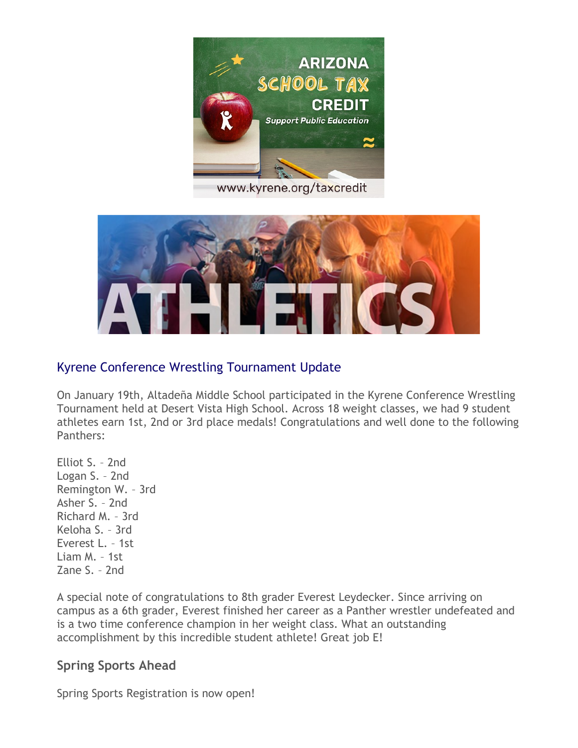

www.kyrene.org/taxcredit



### Kyrene Conference Wrestling Tournament Update

On January 19th, Altadeña Middle School participated in the Kyrene Conference Wrestling Tournament held at Desert Vista High School. Across 18 weight classes, we had 9 student athletes earn 1st, 2nd or 3rd place medals! Congratulations and well done to the following Panthers:

Elliot S. – 2nd Logan S. – 2nd Remington W. – 3rd Asher S. – 2nd Richard M. – 3rd Keloha S. – 3rd Everest L. – 1st Liam M. – 1st Zane S. – 2nd

A special note of congratulations to 8th grader Everest Leydecker. Since arriving on campus as a 6th grader, Everest finished her career as a Panther wrestler undefeated and is a two time conference champion in her weight class. What an outstanding accomplishment by this incredible student athlete! Great job E!

#### **Spring Sports Ahead**

Spring Sports Registration is now open!